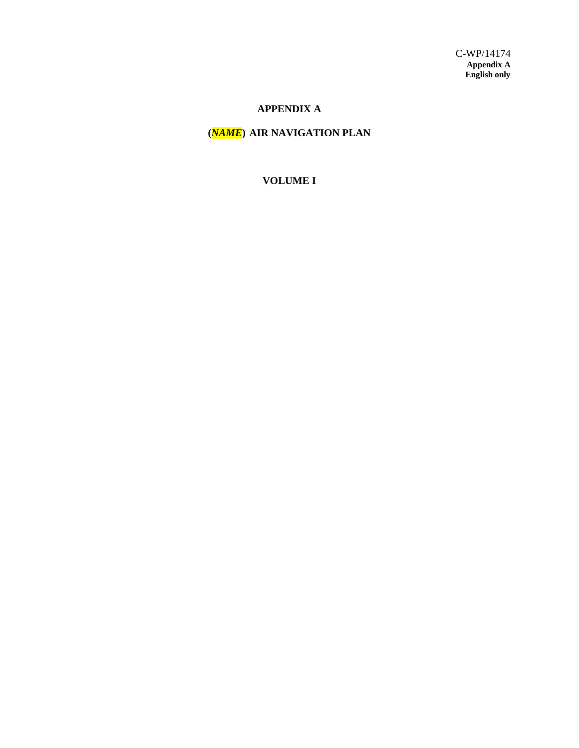# **APPENDIX A**

# **(***NAME***) AIR NAVIGATION PLAN**

#### **VOLUME I**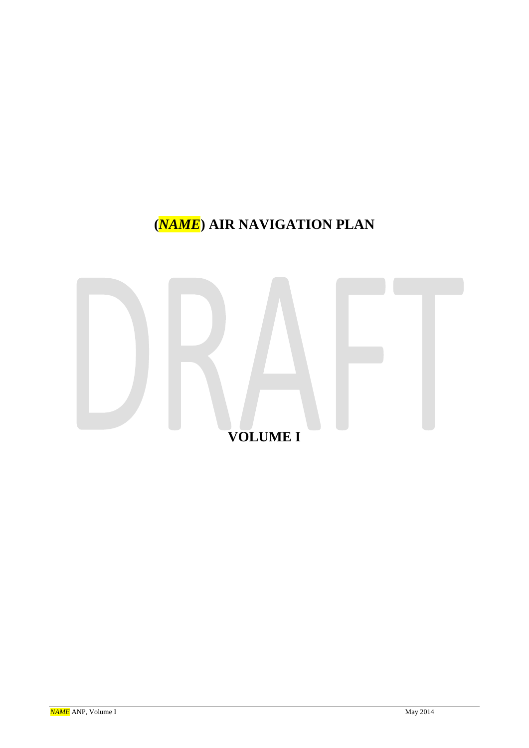# **(***NAME***) AIR NAVIGATION PLAN**

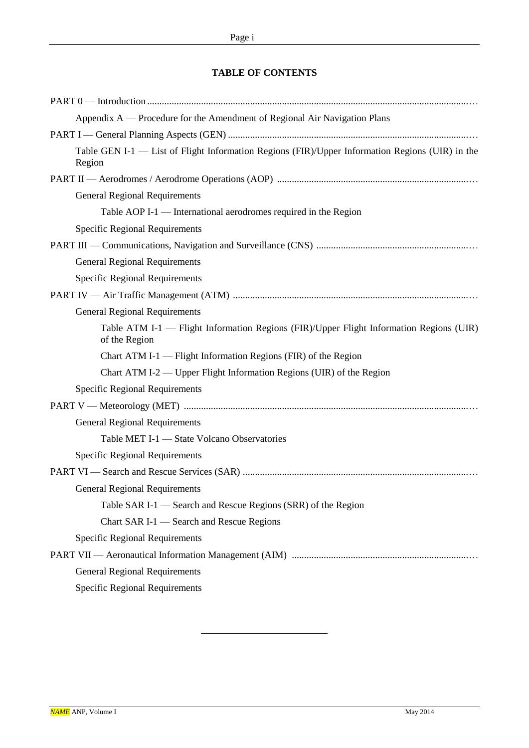# **TABLE OF CONTENTS**

| Appendix A — Procedure for the Amendment of Regional Air Navigation Plans                                 |
|-----------------------------------------------------------------------------------------------------------|
|                                                                                                           |
| Table GEN I-1 - List of Flight Information Regions (FIR)/Upper Information Regions (UIR) in the<br>Region |
|                                                                                                           |
| <b>General Regional Requirements</b>                                                                      |
| Table AOP I-1 — International aerodromes required in the Region                                           |
| <b>Specific Regional Requirements</b>                                                                     |
|                                                                                                           |
| <b>General Regional Requirements</b>                                                                      |
| <b>Specific Regional Requirements</b>                                                                     |
|                                                                                                           |
| <b>General Regional Requirements</b>                                                                      |
| Table ATM I-1 — Flight Information Regions (FIR)/Upper Flight Information Regions (UIR)<br>of the Region  |
| Chart ATM I-1 — Flight Information Regions (FIR) of the Region                                            |
| Chart ATM I-2 — Upper Flight Information Regions (UIR) of the Region                                      |
| <b>Specific Regional Requirements</b>                                                                     |
|                                                                                                           |
| <b>General Regional Requirements</b>                                                                      |
| Table MET I-1 - State Volcano Observatories                                                               |
| <b>Specific Regional Requirements</b>                                                                     |
|                                                                                                           |
| <b>General Regional Requirements</b>                                                                      |
| Table SAR I-1 — Search and Rescue Regions (SRR) of the Region                                             |
| Chart SAR I-1 - Search and Rescue Regions                                                                 |
| <b>Specific Regional Requirements</b>                                                                     |
|                                                                                                           |
| <b>General Regional Requirements</b>                                                                      |
| <b>Specific Regional Requirements</b>                                                                     |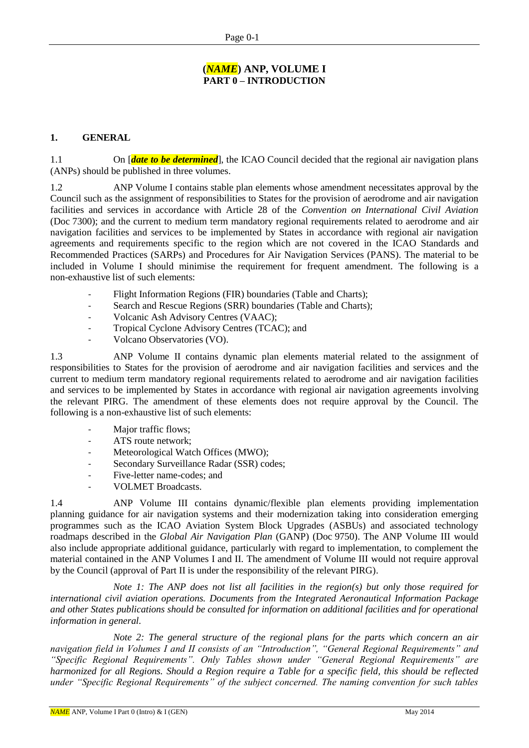# **(***NAME***) ANP, VOLUME I PART 0 – INTRODUCTION**

# **1. GENERAL**

1.1 On [*date to be determined*], the ICAO Council decided that the regional air navigation plans (ANPs) should be published in three volumes.

1.2 ANP Volume I contains stable plan elements whose amendment necessitates approval by the Council such as the assignment of responsibilities to States for the provision of aerodrome and air navigation facilities and services in accordance with Article 28 of the *Convention on International Civil Aviation* (Doc 7300); and the current to medium term mandatory regional requirements related to aerodrome and air navigation facilities and services to be implemented by States in accordance with regional air navigation agreements and requirements specific to the region which are not covered in the ICAO Standards and Recommended Practices (SARPs) and Procedures for Air Navigation Services (PANS). The material to be included in Volume I should minimise the requirement for frequent amendment. The following is a non-exhaustive list of such elements:

- Flight Information Regions (FIR) boundaries (Table and Charts);
- Search and Rescue Regions (SRR) boundaries (Table and Charts);
- Volcanic Ash Advisory Centres (VAAC);
- Tropical Cyclone Advisory Centres (TCAC); and
- Volcano Observatories (VO).

1.3 ANP Volume II contains dynamic plan elements material related to the assignment of responsibilities to States for the provision of aerodrome and air navigation facilities and services and the current to medium term mandatory regional requirements related to aerodrome and air navigation facilities and services to be implemented by States in accordance with regional air navigation agreements involving the relevant PIRG. The amendment of these elements does not require approval by the Council. The following is a non-exhaustive list of such elements:

- Major traffic flows:
- ATS route network;
- Meteorological Watch Offices (MWO);
- Secondary Surveillance Radar (SSR) codes;
- Five-letter name-codes; and
- VOLMET Broadcasts.

1.4 ANP Volume III contains dynamic/flexible plan elements providing implementation planning guidance for air navigation systems and their modernization taking into consideration emerging programmes such as the ICAO Aviation System Block Upgrades (ASBUs) and associated technology roadmaps described in the *Global Air Navigation Plan* (GANP) (Doc 9750). The ANP Volume III would also include appropriate additional guidance, particularly with regard to implementation, to complement the material contained in the ANP Volumes I and II. The amendment of Volume III would not require approval by the Council (approval of Part II is under the responsibility of the relevant PIRG).

*Note 1: The ANP does not list all facilities in the region(s) but only those required for international civil aviation operations. Documents from the Integrated Aeronautical Information Package and other States publications should be consulted for information on additional facilities and for operational information in general.*

*Note 2: The general structure of the regional plans for the parts which concern an air navigation field in Volumes I and II consists of an "Introduction", "General Regional Requirements" and "Specific Regional Requirements". Only Tables shown under "General Regional Requirements" are harmonized for all Regions. Should a Region require a Table for a specific field, this should be reflected under "Specific Regional Requirements" of the subject concerned. The naming convention for such tables*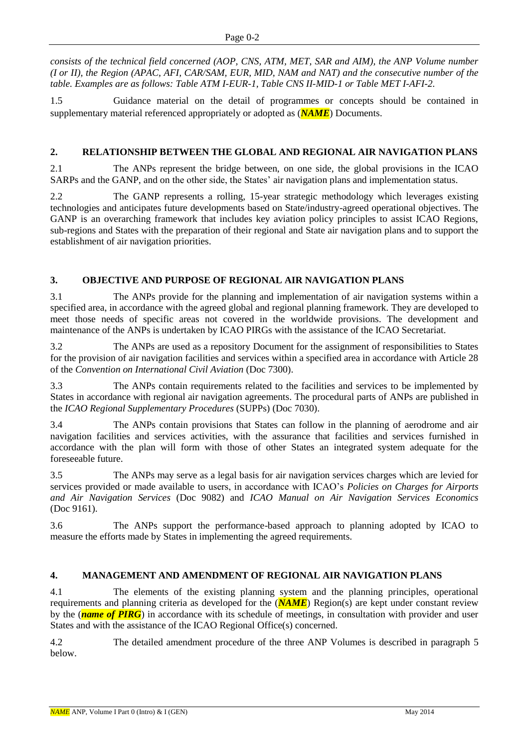*consists of the technical field concerned (AOP, CNS, ATM, MET, SAR and AIM), the ANP Volume number (I or II), the Region (APAC, AFI, CAR/SAM, EUR, MID, NAM and NAT) and the consecutive number of the table. Examples are as follows: Table ATM I-EUR-1, Table CNS II-MID-1 or Table MET I-AFI-2.*

1.5 Guidance material on the detail of programmes or concepts should be contained in supplementary material referenced appropriately or adopted as (*NAME*) Documents.

# **2. RELATIONSHIP BETWEEN THE GLOBAL AND REGIONAL AIR NAVIGATION PLANS**

2.1 The ANPs represent the bridge between, on one side, the global provisions in the ICAO SARPs and the GANP, and on the other side, the States' air navigation plans and implementation status.

2.2 The GANP represents a rolling, 15-year strategic methodology which leverages existing technologies and anticipates future developments based on State/industry-agreed operational objectives. The GANP is an overarching framework that includes key aviation policy principles to assist ICAO Regions, sub-regions and States with the preparation of their regional and State air navigation plans and to support the establishment of air navigation priorities.

# **3. OBJECTIVE AND PURPOSE OF REGIONAL AIR NAVIGATION PLANS**

3.1 The ANPs provide for the planning and implementation of air navigation systems within a specified area, in accordance with the agreed global and regional planning framework. They are developed to meet those needs of specific areas not covered in the worldwide provisions. The development and maintenance of the ANPs is undertaken by ICAO PIRGs with the assistance of the ICAO Secretariat.

3.2 The ANPs are used as a repository Document for the assignment of responsibilities to States for the provision of air navigation facilities and services within a specified area in accordance with Article 28 of the *Convention on International Civil Aviation* (Doc 7300).

3.3 The ANPs contain requirements related to the facilities and services to be implemented by States in accordance with regional air navigation agreements. The procedural parts of ANPs are published in the *ICAO Regional Supplementary Procedures* (SUPPs) (Doc 7030).

3.4 The ANPs contain provisions that States can follow in the planning of aerodrome and air navigation facilities and services activities, with the assurance that facilities and services furnished in accordance with the plan will form with those of other States an integrated system adequate for the foreseeable future.

3.5 The ANPs may serve as a legal basis for air navigation services charges which are levied for services provided or made available to users, in accordance with ICAO's *Policies on Charges for Airports and Air Navigation Services* (Doc 9082) and *ICAO Manual on Air Navigation Services Economics* (Doc 9161).

3.6 The ANPs support the performance-based approach to planning adopted by ICAO to measure the efforts made by States in implementing the agreed requirements.

# **4. MANAGEMENT AND AMENDMENT OF REGIONAL AIR NAVIGATION PLANS**

4.1 The elements of the existing planning system and the planning principles, operational requirements and planning criteria as developed for the (*NAME*) Region(s) are kept under constant review by the (*name of PIRG*) in accordance with its schedule of meetings, in consultation with provider and user States and with the assistance of the ICAO Regional Office(s) concerned.

4.2 The detailed amendment procedure of the three ANP Volumes is described in paragraph 5 below.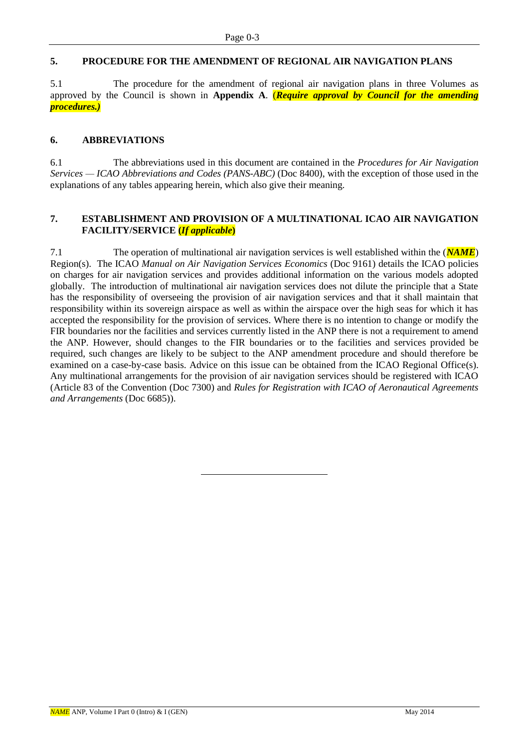# **5. PROCEDURE FOR THE AMENDMENT OF REGIONAL AIR NAVIGATION PLANS**

5.1 The procedure for the amendment of regional air navigation plans in three Volumes as approved by the Council is shown in **Appendix A**. (*Require approval by Council for the amending procedures.)*

#### **6. ABBREVIATIONS**

6.1 The abbreviations used in this document are contained in the *Procedures for Air Navigation Services — ICAO Abbreviations and Codes (PANS-ABC)* (Doc 8400), with the exception of those used in the explanations of any tables appearing herein, which also give their meaning.

#### **7. ESTABLISHMENT AND PROVISION OF A MULTINATIONAL ICAO AIR NAVIGATION FACILITY/SERVICE (***If applicable***)**

7.1 The operation of multinational air navigation services is well established within the (*NAME*) Region(s). The ICAO *Manual on Air Navigation Services Economics* (Doc 9161) details the ICAO policies on charges for air navigation services and provides additional information on the various models adopted globally. The introduction of multinational air navigation services does not dilute the principle that a State has the responsibility of overseeing the provision of air navigation services and that it shall maintain that responsibility within its sovereign airspace as well as within the airspace over the high seas for which it has accepted the responsibility for the provision of services. Where there is no intention to change or modify the FIR boundaries nor the facilities and services currently listed in the ANP there is not a requirement to amend the ANP. However, should changes to the FIR boundaries or to the facilities and services provided be required, such changes are likely to be subject to the ANP amendment procedure and should therefore be examined on a case-by-case basis. Advice on this issue can be obtained from the ICAO Regional Office(s). Any multinational arrangements for the provision of air navigation services should be registered with ICAO (Article 83 of the Convention (Doc 7300) and *Rules for Registration with ICAO of Aeronautical Agreements and Arrangements* (Doc 6685)).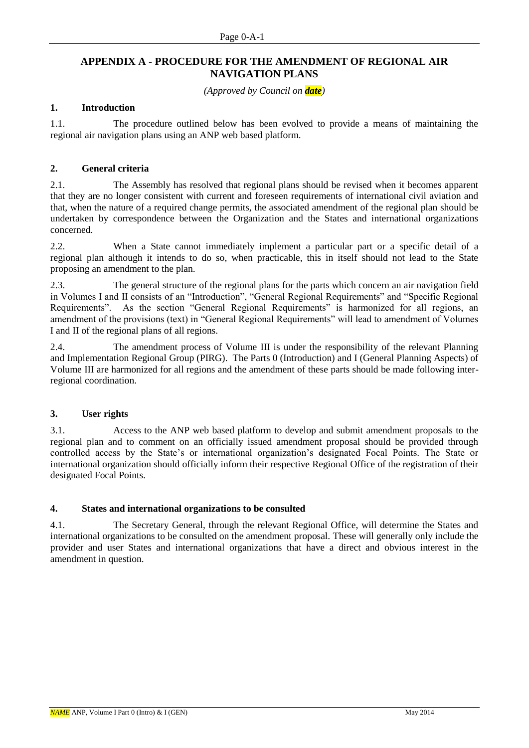### **APPENDIX A - PROCEDURE FOR THE AMENDMENT OF REGIONAL AIR NAVIGATION PLANS**

*(Approved by Council on date)*

#### **1. Introduction**

1.1. The procedure outlined below has been evolved to provide a means of maintaining the regional air navigation plans using an ANP web based platform.

#### **2. General criteria**

2.1. The Assembly has resolved that regional plans should be revised when it becomes apparent that they are no longer consistent with current and foreseen requirements of international civil aviation and that, when the nature of a required change permits, the associated amendment of the regional plan should be undertaken by correspondence between the Organization and the States and international organizations concerned.

2.2. When a State cannot immediately implement a particular part or a specific detail of a regional plan although it intends to do so, when practicable, this in itself should not lead to the State proposing an amendment to the plan.

2.3. The general structure of the regional plans for the parts which concern an air navigation field in Volumes I and II consists of an "Introduction", "General Regional Requirements" and "Specific Regional Requirements". As the section "General Regional Requirements" is harmonized for all regions, an amendment of the provisions (text) in "General Regional Requirements" will lead to amendment of Volumes I and II of the regional plans of all regions.

2.4. The amendment process of Volume III is under the responsibility of the relevant Planning and Implementation Regional Group (PIRG). The Parts 0 (Introduction) and I (General Planning Aspects) of Volume III are harmonized for all regions and the amendment of these parts should be made following interregional coordination.

#### **3. User rights**

3.1. Access to the ANP web based platform to develop and submit amendment proposals to the regional plan and to comment on an officially issued amendment proposal should be provided through controlled access by the State's or international organization's designated Focal Points. The State or international organization should officially inform their respective Regional Office of the registration of their designated Focal Points.

#### **4. States and international organizations to be consulted**

4.1. The Secretary General, through the relevant Regional Office, will determine the States and international organizations to be consulted on the amendment proposal. These will generally only include the provider and user States and international organizations that have a direct and obvious interest in the amendment in question.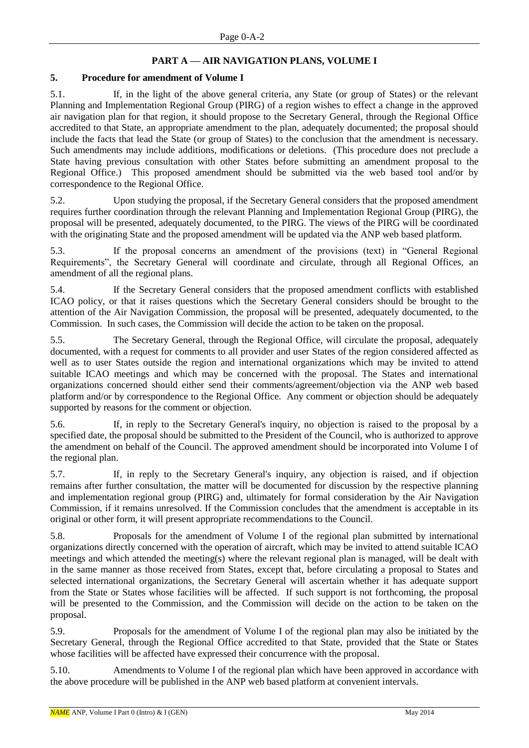# **PART A — AIR NAVIGATION PLANS, VOLUME I**

#### **5. Procedure for amendment of Volume I**

5.1. If, in the light of the above general criteria, any State (or group of States) or the relevant Planning and Implementation Regional Group (PIRG) of a region wishes to effect a change in the approved air navigation plan for that region, it should propose to the Secretary General, through the Regional Office accredited to that State, an appropriate amendment to the plan, adequately documented; the proposal should include the facts that lead the State (or group of States) to the conclusion that the amendment is necessary. Such amendments may include additions, modifications or deletions. (This procedure does not preclude a State having previous consultation with other States before submitting an amendment proposal to the Regional Office.) This proposed amendment should be submitted via the web based tool and/or by correspondence to the Regional Office.

5.2. Upon studying the proposal, if the Secretary General considers that the proposed amendment requires further coordination through the relevant Planning and Implementation Regional Group (PIRG), the proposal will be presented, adequately documented, to the PIRG. The views of the PIRG will be coordinated with the originating State and the proposed amendment will be updated via the ANP web based platform.

5.3. If the proposal concerns an amendment of the provisions (text) in "General Regional Requirements", the Secretary General will coordinate and circulate, through all Regional Offices, an amendment of all the regional plans.

5.4. If the Secretary General considers that the proposed amendment conflicts with established ICAO policy, or that it raises questions which the Secretary General considers should be brought to the attention of the Air Navigation Commission, the proposal will be presented, adequately documented, to the Commission. In such cases, the Commission will decide the action to be taken on the proposal.

5.5. The Secretary General, through the Regional Office, will circulate the proposal, adequately documented, with a request for comments to all provider and user States of the region considered affected as well as to user States outside the region and international organizations which may be invited to attend suitable ICAO meetings and which may be concerned with the proposal. The States and international organizations concerned should either send their comments/agreement/objection via the ANP web based platform and/or by correspondence to the Regional Office. Any comment or objection should be adequately supported by reasons for the comment or objection.

5.6. If, in reply to the Secretary General's inquiry, no objection is raised to the proposal by a specified date, the proposal should be submitted to the President of the Council, who is authorized to approve the amendment on behalf of the Council. The approved amendment should be incorporated into Volume I of the regional plan.

5.7. If, in reply to the Secretary General's inquiry, any objection is raised, and if objection remains after further consultation, the matter will be documented for discussion by the respective planning and implementation regional group (PIRG) and, ultimately for formal consideration by the Air Navigation Commission, if it remains unresolved. If the Commission concludes that the amendment is acceptable in its original or other form, it will present appropriate recommendations to the Council.

5.8. Proposals for the amendment of Volume I of the regional plan submitted by international organizations directly concerned with the operation of aircraft, which may be invited to attend suitable ICAO meetings and which attended the meeting(s) where the relevant regional plan is managed, will be dealt with in the same manner as those received from States, except that, before circulating a proposal to States and selected international organizations, the Secretary General will ascertain whether it has adequate support from the State or States whose facilities will be affected. If such support is not forthcoming, the proposal will be presented to the Commission, and the Commission will decide on the action to be taken on the proposal.

5.9. Proposals for the amendment of Volume I of the regional plan may also be initiated by the Secretary General, through the Regional Office accredited to that State, provided that the State or States whose facilities will be affected have expressed their concurrence with the proposal.

5.10. Amendments to Volume I of the regional plan which have been approved in accordance with the above procedure will be published in the ANP web based platform at convenient intervals.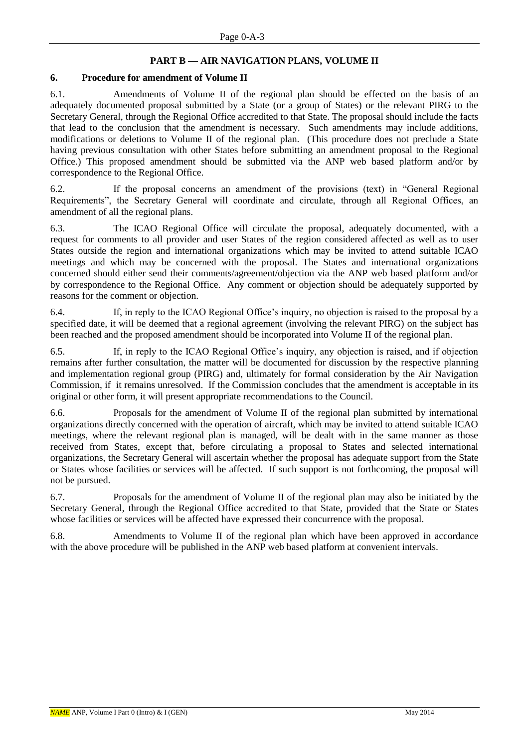# **PART B — AIR NAVIGATION PLANS, VOLUME II**

#### **6. Procedure for amendment of Volume II**

6.1. Amendments of Volume II of the regional plan should be effected on the basis of an adequately documented proposal submitted by a State (or a group of States) or the relevant PIRG to the Secretary General, through the Regional Office accredited to that State. The proposal should include the facts that lead to the conclusion that the amendment is necessary. Such amendments may include additions, modifications or deletions to Volume II of the regional plan. (This procedure does not preclude a State having previous consultation with other States before submitting an amendment proposal to the Regional Office.) This proposed amendment should be submitted via the ANP web based platform and/or by correspondence to the Regional Office.

6.2. If the proposal concerns an amendment of the provisions (text) in "General Regional Requirements", the Secretary General will coordinate and circulate, through all Regional Offices, an amendment of all the regional plans.

6.3. The ICAO Regional Office will circulate the proposal, adequately documented, with a request for comments to all provider and user States of the region considered affected as well as to user States outside the region and international organizations which may be invited to attend suitable ICAO meetings and which may be concerned with the proposal. The States and international organizations concerned should either send their comments/agreement/objection via the ANP web based platform and/or by correspondence to the Regional Office. Any comment or objection should be adequately supported by reasons for the comment or objection.

6.4. If, in reply to the ICAO Regional Office's inquiry, no objection is raised to the proposal by a specified date, it will be deemed that a regional agreement (involving the relevant PIRG) on the subject has been reached and the proposed amendment should be incorporated into Volume II of the regional plan.

6.5. If, in reply to the ICAO Regional Office's inquiry, any objection is raised, and if objection remains after further consultation, the matter will be documented for discussion by the respective planning and implementation regional group (PIRG) and, ultimately for formal consideration by the Air Navigation Commission, if it remains unresolved. If the Commission concludes that the amendment is acceptable in its original or other form, it will present appropriate recommendations to the Council.

6.6. Proposals for the amendment of Volume II of the regional plan submitted by international organizations directly concerned with the operation of aircraft, which may be invited to attend suitable ICAO meetings, where the relevant regional plan is managed, will be dealt with in the same manner as those received from States, except that, before circulating a proposal to States and selected international organizations, the Secretary General will ascertain whether the proposal has adequate support from the State or States whose facilities or services will be affected. If such support is not forthcoming, the proposal will not be pursued.

6.7. Proposals for the amendment of Volume II of the regional plan may also be initiated by the Secretary General, through the Regional Office accredited to that State, provided that the State or States whose facilities or services will be affected have expressed their concurrence with the proposal.

6.8. Amendments to Volume II of the regional plan which have been approved in accordance with the above procedure will be published in the ANP web based platform at convenient intervals.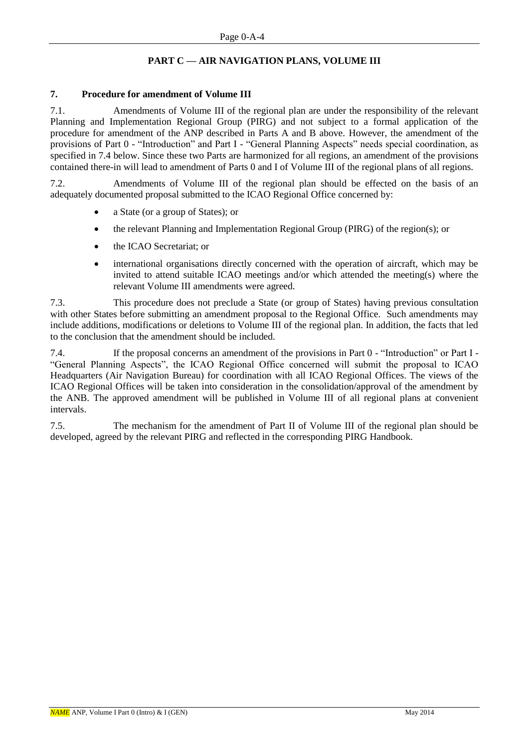# **PART C — AIR NAVIGATION PLANS, VOLUME III**

#### **7. Procedure for amendment of Volume III**

7.1. Amendments of Volume III of the regional plan are under the responsibility of the relevant Planning and Implementation Regional Group (PIRG) and not subject to a formal application of the procedure for amendment of the ANP described in Parts A and B above. However, the amendment of the provisions of Part 0 - "Introduction" and Part I - "General Planning Aspects" needs special coordination, as specified in 7.4 below. Since these two Parts are harmonized for all regions, an amendment of the provisions contained there-in will lead to amendment of Parts 0 and I of Volume III of the regional plans of all regions.

7.2. Amendments of Volume III of the regional plan should be effected on the basis of an adequately documented proposal submitted to the ICAO Regional Office concerned by:

- a State (or a group of States); or
- the relevant Planning and Implementation Regional Group (PIRG) of the region(s); or
- the ICAO Secretariat; or
- international organisations directly concerned with the operation of aircraft, which may be invited to attend suitable ICAO meetings and/or which attended the meeting(s) where the relevant Volume III amendments were agreed.

7.3. This procedure does not preclude a State (or group of States) having previous consultation with other States before submitting an amendment proposal to the Regional Office. Such amendments may include additions, modifications or deletions to Volume III of the regional plan. In addition, the facts that led to the conclusion that the amendment should be included.

7.4. If the proposal concerns an amendment of the provisions in Part 0 - "Introduction" or Part I - "General Planning Aspects", the ICAO Regional Office concerned will submit the proposal to ICAO Headquarters (Air Navigation Bureau) for coordination with all ICAO Regional Offices. The views of the ICAO Regional Offices will be taken into consideration in the consolidation/approval of the amendment by the ANB. The approved amendment will be published in Volume III of all regional plans at convenient intervals.

7.5. The mechanism for the amendment of Part II of Volume III of the regional plan should be developed, agreed by the relevant PIRG and reflected in the corresponding PIRG Handbook.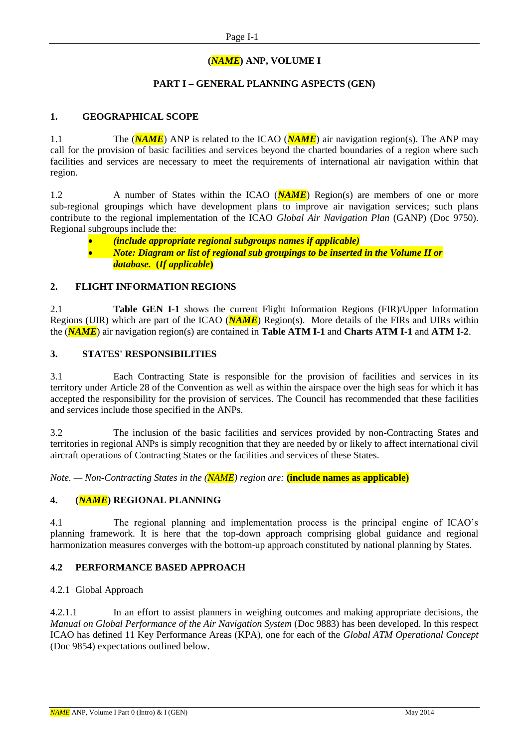# **(***NAME***) ANP, VOLUME I**

### **PART I – GENERAL PLANNING ASPECTS (GEN)**

### **1. GEOGRAPHICAL SCOPE**

1.1 The (*NAME*) ANP is related to the ICAO (*NAME*) air navigation region(s). The ANP may call for the provision of basic facilities and services beyond the charted boundaries of a region where such facilities and services are necessary to meet the requirements of international air navigation within that region.

1.2 A number of States within the ICAO (**NAME**) Region(s) are members of one or more sub-regional groupings which have development plans to improve air navigation services; such plans contribute to the regional implementation of the ICAO *Global Air Navigation Plan* (GANP) (Doc 9750). Regional subgroups include the:

- *(include appropriate regional subgroups names if applicable)*
- *Note: Diagram or list of regional sub groupings to be inserted in the Volume II or database.* **(***If applicable***)**

#### **2. FLIGHT INFORMATION REGIONS**

2.1 **Table GEN I-1** shows the current Flight Information Regions (FIR)/Upper Information Regions (UIR) which are part of the ICAO (*NAME*) Region(s). More details of the FIRs and UIRs within the (*NAME*) air navigation region(s) are contained in **Table ATM I-1** and **Charts ATM I-1** and **ATM I-2**.

#### **3. STATES' RESPONSIBILITIES**

3.1 Each Contracting State is responsible for the provision of facilities and services in its territory under Article 28 of the Convention as well as within the airspace over the high seas for which it has accepted the responsibility for the provision of services. The Council has recommended that these facilities and services include those specified in the ANPs.

3.2 The inclusion of the basic facilities and services provided by non-Contracting States and territories in regional ANPs is simply recognition that they are needed by or likely to affect international civil aircraft operations of Contracting States or the facilities and services of these States.

*Note. — Non-Contracting States in the (NAME) region are:* **(include names as applicable)**

# **4. (***NAME***) REGIONAL PLANNING**

4.1 The regional planning and implementation process is the principal engine of ICAO's planning framework. It is here that the top-down approach comprising global guidance and regional harmonization measures converges with the bottom-up approach constituted by national planning by States.

# **4.2 PERFORMANCE BASED APPROACH**

#### 4.2.1 Global Approach

4.2.1.1 In an effort to assist planners in weighing outcomes and making appropriate decisions, the *Manual on Global Performance of the Air Navigation System (Doc 9883)* has been developed. In this respect ICAO has defined 11 Key Performance Areas (KPA), one for each of the *Global ATM Operational Concept*  (Doc 9854) expectations outlined below.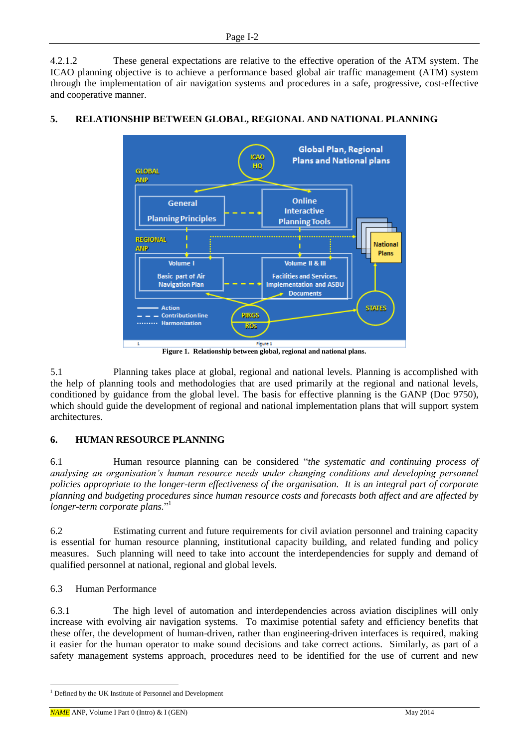4.2.1.2 These general expectations are relative to the effective operation of the ATM system. The ICAO planning objective is to achieve a performance based global air traffic management (ATM) system through the implementation of air navigation systems and procedures in a safe, progressive, cost-effective and cooperative manner.



# **5. RELATIONSHIP BETWEEN GLOBAL, REGIONAL AND NATIONAL PLANNING**

**Figure 1. Relationship between global, regional and national plans.** 

5.1 Planning takes place at global, regional and national levels. Planning is accomplished with the help of planning tools and methodologies that are used primarily at the regional and national levels, conditioned by guidance from the global level. The basis for effective planning is the GANP (Doc 9750), which should guide the development of regional and national implementation plans that will support system architectures.

# **6. HUMAN RESOURCE PLANNING**

6.1 Human resource planning can be considered "*the systematic and continuing process of analysing an organisation's human resource needs under changing conditions and developing personnel policies appropriate to the longer-term effectiveness of the organisation. It is an integral part of corporate planning and budgeting procedures since human resource costs and forecasts both affect and are affected by longer-term corporate plans.*" 1

6.2 Estimating current and future requirements for civil aviation personnel and training capacity is essential for human resource planning, institutional capacity building, and related funding and policy measures. Such planning will need to take into account the interdependencies for supply and demand of qualified personnel at national, regional and global levels.

# 6.3 Human Performance

-

6.3.1 The high level of automation and interdependencies across aviation disciplines will only increase with evolving air navigation systems. To maximise potential safety and efficiency benefits that these offer, the development of human-driven, rather than engineering-driven interfaces is required, making it easier for the human operator to make sound decisions and take correct actions. Similarly, as part of a safety management systems approach, procedures need to be identified for the use of current and new

<sup>&</sup>lt;sup>1</sup> Defined by the UK Institute of Personnel and Development

 $NAME$  ANP, Volume I Part 0 (Intro)  $\&$  I (GEN) May 2014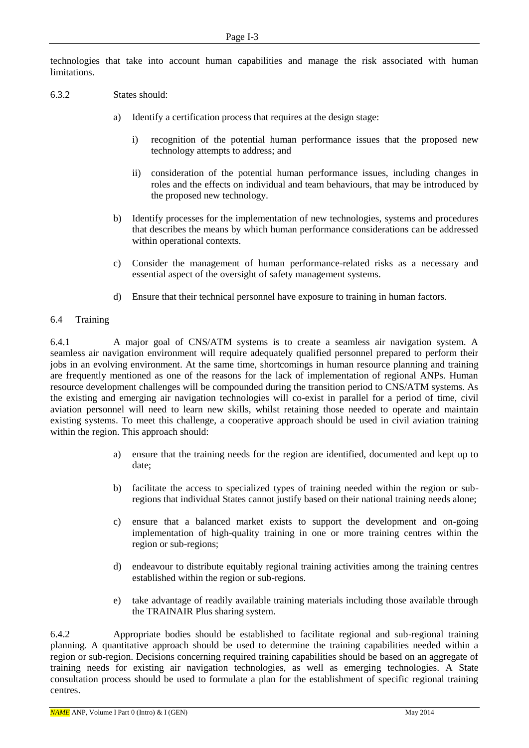technologies that take into account human capabilities and manage the risk associated with human limitations.

### 6.3.2 States should:

- a) Identify a certification process that requires at the design stage:
	- i) recognition of the potential human performance issues that the proposed new technology attempts to address; and
	- ii) consideration of the potential human performance issues, including changes in roles and the effects on individual and team behaviours, that may be introduced by the proposed new technology.
- b) Identify processes for the implementation of new technologies, systems and procedures that describes the means by which human performance considerations can be addressed within operational contexts.
- c) Consider the management of human performance-related risks as a necessary and essential aspect of the oversight of safety management systems.
- d) Ensure that their technical personnel have exposure to training in human factors.

#### 6.4 Training

6.4.1 A major goal of CNS/ATM systems is to create a seamless air navigation system. A seamless air navigation environment will require adequately qualified personnel prepared to perform their jobs in an evolving environment. At the same time, shortcomings in human resource planning and training are frequently mentioned as one of the reasons for the lack of implementation of regional ANPs. Human resource development challenges will be compounded during the transition period to CNS/ATM systems. As the existing and emerging air navigation technologies will co-exist in parallel for a period of time, civil aviation personnel will need to learn new skills, whilst retaining those needed to operate and maintain existing systems. To meet this challenge, a cooperative approach should be used in civil aviation training within the region. This approach should:

- a) ensure that the training needs for the region are identified, documented and kept up to date;
- b) facilitate the access to specialized types of training needed within the region or subregions that individual States cannot justify based on their national training needs alone;
- c) ensure that a balanced market exists to support the development and on-going implementation of high-quality training in one or more training centres within the region or sub-regions;
- d) endeavour to distribute equitably regional training activities among the training centres established within the region or sub-regions.
- e) take advantage of readily available training materials including those available through the TRAINAIR Plus sharing system.

6.4.2 Appropriate bodies should be established to facilitate regional and sub-regional training planning. A quantitative approach should be used to determine the training capabilities needed within a region or sub-region. Decisions concerning required training capabilities should be based on an aggregate of training needs for existing air navigation technologies, as well as emerging technologies. A State consultation process should be used to formulate a plan for the establishment of specific regional training centres.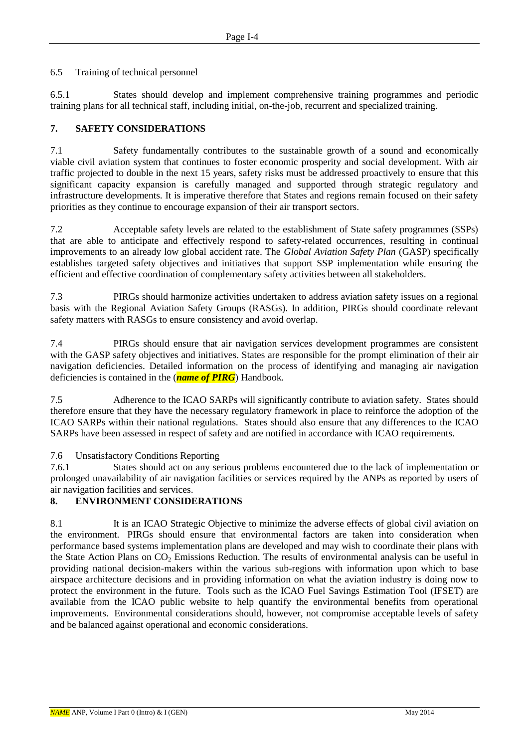6.5 Training of technical personnel

6.5.1 States should develop and implement comprehensive training programmes and periodic training plans for all technical staff, including initial, on-the-job, recurrent and specialized training.

### **7. SAFETY CONSIDERATIONS**

7.1 Safety fundamentally contributes to the sustainable growth of a sound and economically viable civil aviation system that continues to foster economic prosperity and social development. With air traffic projected to double in the next 15 years, safety risks must be addressed proactively to ensure that this significant capacity expansion is carefully managed and supported through strategic regulatory and infrastructure developments. It is imperative therefore that States and regions remain focused on their safety priorities as they continue to encourage expansion of their air transport sectors.

7.2 Acceptable safety levels are related to the establishment of State safety programmes (SSPs) that are able to anticipate and effectively respond to safety-related occurrences, resulting in continual improvements to an already low global accident rate. The *Global Aviation Safety Plan* (GASP) specifically establishes targeted safety objectives and initiatives that support SSP implementation while ensuring the efficient and effective coordination of complementary safety activities between all stakeholders.

7.3 PIRGs should harmonize activities undertaken to address aviation safety issues on a regional basis with the Regional Aviation Safety Groups (RASGs). In addition, PIRGs should coordinate relevant safety matters with RASGs to ensure consistency and avoid overlap.

7.4 PIRGs should ensure that air navigation services development programmes are consistent with the GASP safety objectives and initiatives. States are responsible for the prompt elimination of their air navigation deficiencies. Detailed information on the process of identifying and managing air navigation deficiencies is contained in the (*name of PIRG*) Handbook.

7.5 Adherence to the ICAO SARPs will significantly contribute to aviation safety. States should therefore ensure that they have the necessary regulatory framework in place to reinforce the adoption of the ICAO SARPs within their national regulations. States should also ensure that any differences to the ICAO SARPs have been assessed in respect of safety and are notified in accordance with ICAO requirements.

#### 7.6 Unsatisfactory Conditions Reporting

7.6.1 States should act on any serious problems encountered due to the lack of implementation or prolonged unavailability of air navigation facilities or services required by the ANPs as reported by users of air navigation facilities and services.

# **8. ENVIRONMENT CONSIDERATIONS**

8.1 It is an ICAO Strategic Objective to minimize the adverse effects of global civil aviation on the environment. PIRGs should ensure that environmental factors are taken into consideration when performance based systems implementation plans are developed and may wish to coordinate their plans with the State Action Plans on  $CO<sub>2</sub>$  Emissions Reduction. The results of environmental analysis can be useful in providing national decision-makers within the various sub-regions with information upon which to base airspace architecture decisions and in providing information on what the aviation industry is doing now to protect the environment in the future. Tools such as the ICAO Fuel Savings Estimation Tool (IFSET) are available from the ICAO public website to help quantify the environmental benefits from operational improvements. Environmental considerations should, however, not compromise acceptable levels of safety and be balanced against operational and economic considerations.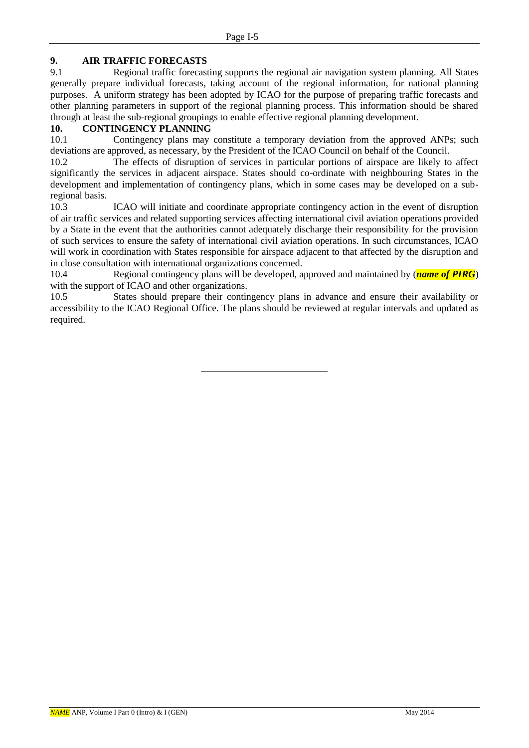# **9. AIR TRAFFIC FORECASTS**

9.1 Regional traffic forecasting supports the regional air navigation system planning. All States generally prepare individual forecasts, taking account of the regional information, for national planning purposes. A uniform strategy has been adopted by ICAO for the purpose of preparing traffic forecasts and other planning parameters in support of the regional planning process. This information should be shared through at least the sub-regional groupings to enable effective regional planning development.

# **10. CONTINGENCY PLANNING**

10.1 Contingency plans may constitute a temporary deviation from the approved ANPs; such deviations are approved, as necessary, by the President of the ICAO Council on behalf of the Council.

10.2 The effects of disruption of services in particular portions of airspace are likely to affect significantly the services in adjacent airspace. States should co-ordinate with neighbouring States in the development and implementation of contingency plans, which in some cases may be developed on a subregional basis.

10.3 ICAO will initiate and coordinate appropriate contingency action in the event of disruption of air traffic services and related supporting services affecting international civil aviation operations provided by a State in the event that the authorities cannot adequately discharge their responsibility for the provision of such services to ensure the safety of international civil aviation operations. In such circumstances, ICAO will work in coordination with States responsible for airspace adjacent to that affected by the disruption and in close consultation with international organizations concerned.

10.4 Regional contingency plans will be developed, approved and maintained by (*name of PIRG*) with the support of ICAO and other organizations.

10.5 States should prepare their contingency plans in advance and ensure their availability or accessibility to the ICAO Regional Office. The plans should be reviewed at regular intervals and updated as required.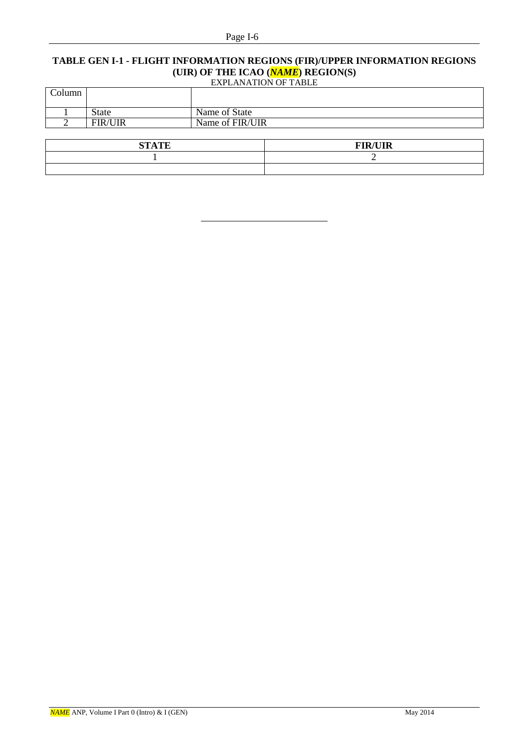#### Page I-6

# **TABLE GEN I-1 - FLIGHT INFORMATION REGIONS (FIR)/UPPER INFORMATION REGIONS (UIR) OF THE ICAO (***NAME*) **REGION(S)**<br>EXPLANATION OF TABLE

| <b>EXPLANATION OF TABLE</b> |  |
|-----------------------------|--|
|-----------------------------|--|

| Column |                |                 |
|--------|----------------|-----------------|
|        | <b>State</b>   | Name of State   |
|        | <b>FIR/UIR</b> | Name of FIR/UIR |
|        |                |                 |

| <b>STATE</b> | <b>FIR/UIR</b> |
|--------------|----------------|
|              |                |
|              |                |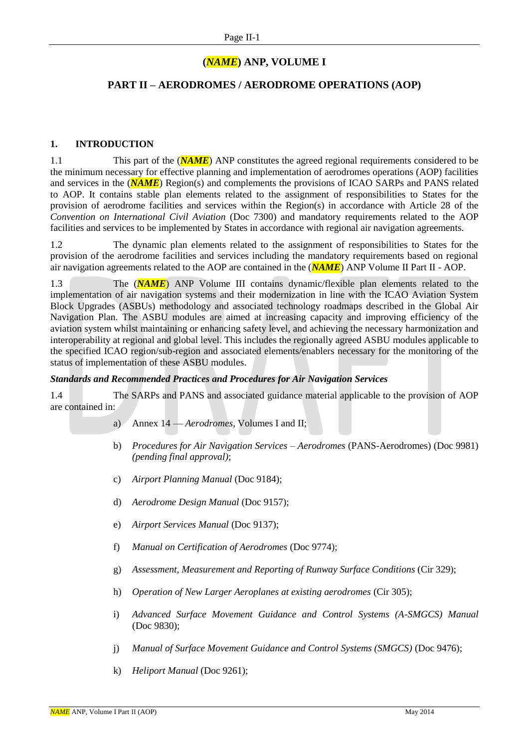# **(***NAME***) ANP, VOLUME I**

# **PART II – AERODROMES / AERODROME OPERATIONS (AOP)**

#### **1. INTRODUCTION**

1.1 This part of the (*NAME*) ANP constitutes the agreed regional requirements considered to be the minimum necessary for effective planning and implementation of aerodromes operations (AOP) facilities and services in the (*NAME*) Region(s) and complements the provisions of ICAO SARPs and PANS related to AOP. It contains stable plan elements related to the assignment of responsibilities to States for the provision of aerodrome facilities and services within the Region(s) in accordance with Article 28 of the *Convention on International Civil Aviation* (Doc 7300) and mandatory requirements related to the AOP facilities and services to be implemented by States in accordance with regional air navigation agreements.

1.2 The dynamic plan elements related to the assignment of responsibilities to States for the provision of the aerodrome facilities and services including the mandatory requirements based on regional air navigation agreements related to the AOP are contained in the (*NAME*) ANP Volume II Part II - AOP.

1.3 The (*NAME*) ANP Volume III contains dynamic/flexible plan elements related to the implementation of air navigation systems and their modernization in line with the ICAO Aviation System Block Upgrades (ASBUs) methodology and associated technology roadmaps described in the Global Air Navigation Plan. The ASBU modules are aimed at increasing capacity and improving efficiency of the aviation system whilst maintaining or enhancing safety level, and achieving the necessary harmonization and interoperability at regional and global level. This includes the regionally agreed ASBU modules applicable to the specified ICAO region/sub-region and associated elements/enablers necessary for the monitoring of the status of implementation of these ASBU modules.

#### *Standards and Recommended Practices and Procedures for Air Navigation Services*

1.4 The SARPs and PANS and associated guidance material applicable to the provision of AOP are contained in:

- a) Annex 14 *Aerodromes*, Volumes I and II;
- b) *Procedures for Air Navigation Services – Aerodromes* (PANS-Aerodromes) (Doc 9981) *(pending final approval)*;
- c) *Airport Planning Manual* (Doc 9184);
- d) *Aerodrome Design Manual* (Doc 9157);
- e) *Airport Services Manual* (Doc 9137);
- f) *Manual on Certification of Aerodromes* (Doc 9774);
- g) *Assessment, Measurement and Reporting of Runway Surface Conditions* (Cir 329);
- h) *Operation of New Larger Aeroplanes at existing aerodromes* (Cir 305);
- i) *Advanced Surface Movement Guidance and Control Systems (A-SMGCS) Manual* (Doc 9830);
- j) *Manual of Surface Movement Guidance and Control Systems (SMGCS)* (Doc 9476);
- k) *Heliport Manual* (Doc 9261);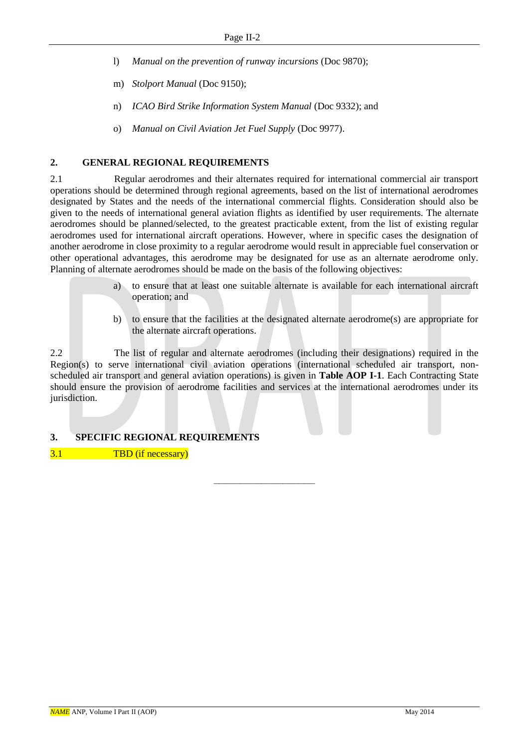- l) *Manual on the prevention of runway incursions* (Doc 9870);
- m) *Stolport Manual* (Doc 9150);
- n) *ICAO Bird Strike Information System Manual* (Doc 9332); and
- o) *Manual on Civil Aviation Jet Fuel Supply* (Doc 9977).

# **2. GENERAL REGIONAL REQUIREMENTS**

2.1 Regular aerodromes and their alternates required for international commercial air transport operations should be determined through regional agreements, based on the list of international aerodromes designated by States and the needs of the international commercial flights. Consideration should also be given to the needs of international general aviation flights as identified by user requirements. The alternate aerodromes should be planned/selected, to the greatest practicable extent, from the list of existing regular aerodromes used for international aircraft operations. However, where in specific cases the designation of another aerodrome in close proximity to a regular aerodrome would result in appreciable fuel conservation or other operational advantages, this aerodrome may be designated for use as an alternate aerodrome only. Planning of alternate aerodromes should be made on the basis of the following objectives:

- a) to ensure that at least one suitable alternate is available for each international aircraft operation; and
- b) to ensure that the facilities at the designated alternate aerodrome(s) are appropriate for the alternate aircraft operations.

2.2 The list of regular and alternate aerodromes (including their designations) required in the Region(s) to serve international civil aviation operations (international scheduled air transport, nonscheduled air transport and general aviation operations) is given in **Table AOP I-1**. Each Contracting State should ensure the provision of aerodrome facilities and services at the international aerodromes under its jurisdiction.

–––––––––––––––––––

# **3. SPECIFIC REGIONAL REQUIREMENTS**

3.1 TBD (if necessary)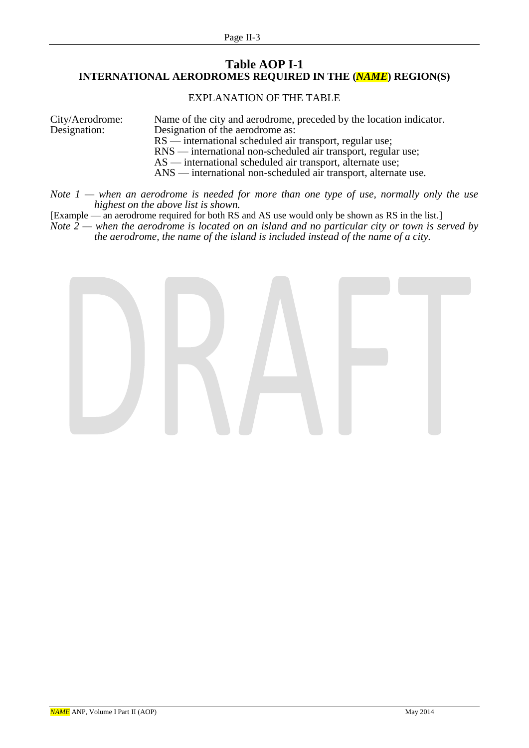# **Table AOP I-1 INTERNATIONAL AERODROMES REQUIRED IN THE (***NAME***) REGION(S)**

# EXPLANATION OF THE TABLE

| City/Aerodrome: | Name of the city and aerodrome, preceded by the location indicator. |
|-----------------|---------------------------------------------------------------------|
| Designation:    | Designation of the aerodrome as:                                    |
|                 | $RS$ — international scheduled air transport, regular use;          |
|                 | RNS — international non-scheduled air transport, regular use;       |
|                 | $AS$ — international scheduled air transport, alternate use;        |
|                 | ANS — international non-scheduled air transport, alternate use.     |

#### *Note 1 — when an aerodrome is needed for more than one type of use, normally only the use highest on the above list is shown.*

[Example — an aerodrome required for both RS and AS use would only be shown as RS in the list.]

*Note*  $\hat{2}$  — *when the aerodrome is located on an island and no particular city or town is served by the aerodrome, the name of the island is included instead of the name of a city.*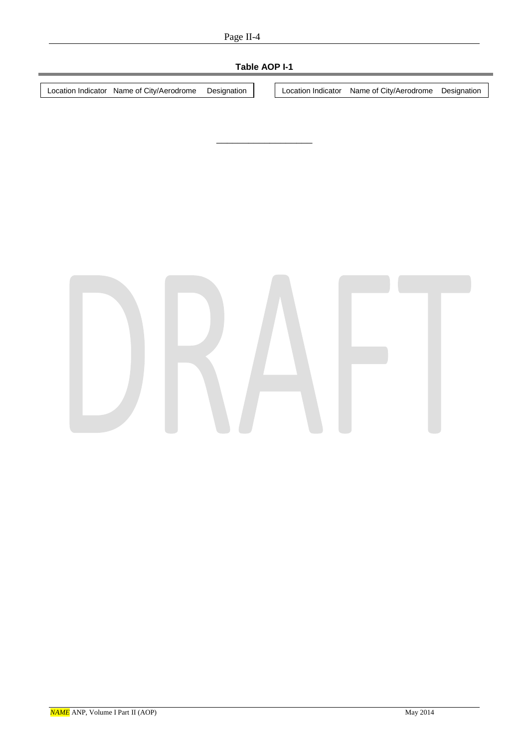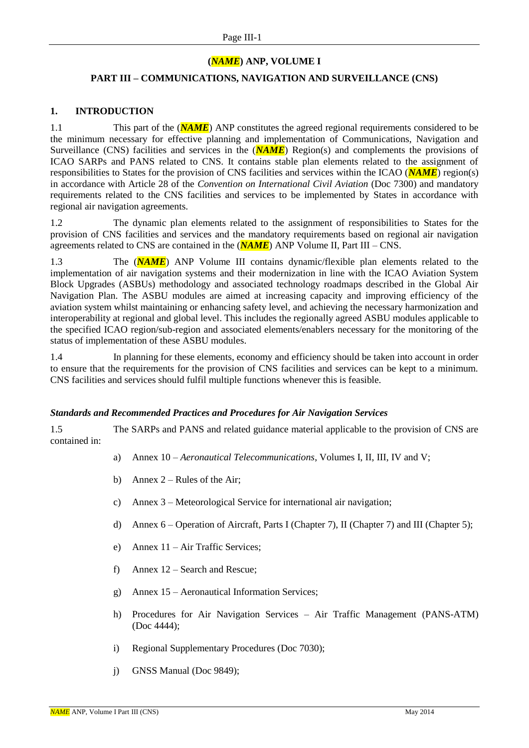#### **(***NAME***) ANP, VOLUME I**

#### **PART III – COMMUNICATIONS, NAVIGATION AND SURVEILLANCE (CNS)**

#### **1. INTRODUCTION**

1.1 This part of the (**NAME**) ANP constitutes the agreed regional requirements considered to be the minimum necessary for effective planning and implementation of Communications, Navigation and Surveillance (CNS) facilities and services in the (**NAME**) Region(s) and complements the provisions of ICAO SARPs and PANS related to CNS. It contains stable plan elements related to the assignment of responsibilities to States for the provision of CNS facilities and services within the ICAO (*NAME*) region(s) in accordance with Article 28 of the *Convention on International Civil Aviation* (Doc 7300) and mandatory requirements related to the CNS facilities and services to be implemented by States in accordance with regional air navigation agreements.

1.2 The dynamic plan elements related to the assignment of responsibilities to States for the provision of CNS facilities and services and the mandatory requirements based on regional air navigation agreements related to CNS are contained in the (*NAME*) ANP Volume II, Part III – CNS.

1.3 The (*NAME*) ANP Volume III contains dynamic/flexible plan elements related to the implementation of air navigation systems and their modernization in line with the ICAO Aviation System Block Upgrades (ASBUs) methodology and associated technology roadmaps described in the Global Air Navigation Plan. The ASBU modules are aimed at increasing capacity and improving efficiency of the aviation system whilst maintaining or enhancing safety level, and achieving the necessary harmonization and interoperability at regional and global level. This includes the regionally agreed ASBU modules applicable to the specified ICAO region/sub-region and associated elements/enablers necessary for the monitoring of the status of implementation of these ASBU modules.

1.4 In planning for these elements, economy and efficiency should be taken into account in order to ensure that the requirements for the provision of CNS facilities and services can be kept to a minimum. CNS facilities and services should fulfil multiple functions whenever this is feasible.

#### *Standards and Recommended Practices and Procedures for Air Navigation Services*

1.5 The SARPs and PANS and related guidance material applicable to the provision of CNS are contained in:

- a) Annex 10 *Aeronautical Telecommunications*, Volumes I, II, III, IV and V;
- b) Annex  $2 -$  Rules of the Air;
- c) Annex 3 Meteorological Service for international air navigation;
- d) Annex 6 Operation of Aircraft, Parts I (Chapter 7), II (Chapter 7) and III (Chapter 5);
- e) Annex 11 Air Traffic Services;
- f) Annex 12 Search and Rescue;
- g) Annex 15 Aeronautical Information Services;
- h) Procedures for Air Navigation Services Air Traffic Management (PANS-ATM) (Doc 4444);
- i) Regional Supplementary Procedures (Doc 7030);
- j) GNSS Manual (Doc 9849);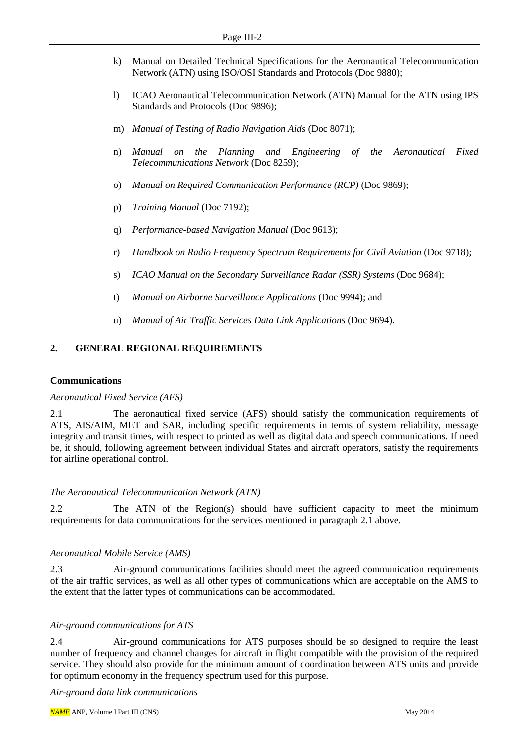- k) Manual on Detailed Technical Specifications for the Aeronautical Telecommunication Network (ATN) using ISO/OSI Standards and Protocols (Doc 9880);
- l) ICAO Aeronautical Telecommunication Network (ATN) Manual for the ATN using IPS Standards and Protocols (Doc 9896);
- m) *Manual of Testing of Radio Navigation Aids* (Doc 8071);
- n) *Manual on the Planning and Engineering of the Aeronautical Fixed Telecommunications Network* (Doc 8259);
- o) *Manual on Required Communication Performance (RCP)* (Doc 9869);
- p) *Training Manual* (Doc 7192);
- q) *Performance-based Navigation Manual* (Doc 9613);
- r) *Handbook on Radio Frequency Spectrum Requirements for Civil Aviation* (Doc 9718);
- s) *ICAO Manual on the Secondary Surveillance Radar (SSR) Systems* (Doc 9684);
- t) *Manual on Airborne Surveillance Applications* (Doc 9994); and
- u) *Manual of Air Traffic Services Data Link Applications* (Doc 9694).

# **2. GENERAL REGIONAL REQUIREMENTS**

#### **Communications**

#### *Aeronautical Fixed Service (AFS)*

2.1 The aeronautical fixed service (AFS) should satisfy the communication requirements of ATS, AIS/AIM, MET and SAR, including specific requirements in terms of system reliability, message integrity and transit times, with respect to printed as well as digital data and speech communications. If need be, it should, following agreement between individual States and aircraft operators, satisfy the requirements for airline operational control.

#### *The Aeronautical Telecommunication Network (ATN)*

2.2 The ATN of the Region(s) should have sufficient capacity to meet the minimum requirements for data communications for the services mentioned in paragraph 2.1 above.

#### *Aeronautical Mobile Service (AMS)*

2.3 Air-ground communications facilities should meet the agreed communication requirements of the air traffic services, as well as all other types of communications which are acceptable on the AMS to the extent that the latter types of communications can be accommodated.

#### *Air-ground communications for ATS*

2.4 Air-ground communications for ATS purposes should be so designed to require the least number of frequency and channel changes for aircraft in flight compatible with the provision of the required service. They should also provide for the minimum amount of coordination between ATS units and provide for optimum economy in the frequency spectrum used for this purpose.

*Air-ground data link communications*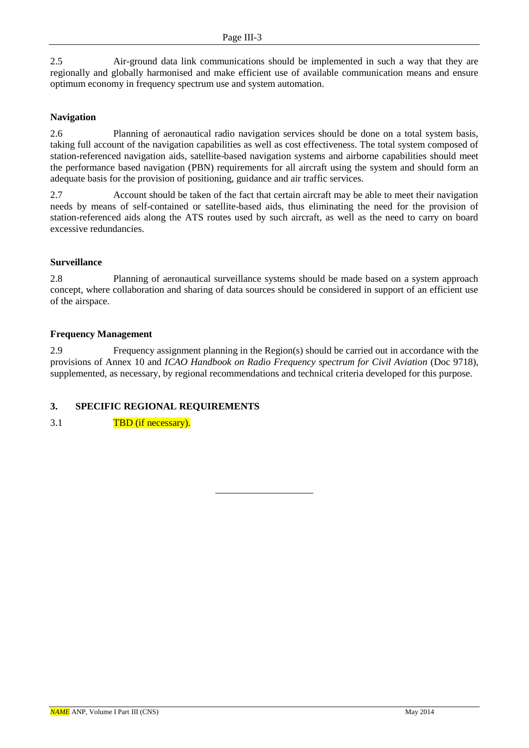2.5 Air-ground data link communications should be implemented in such a way that they are regionally and globally harmonised and make efficient use of available communication means and ensure optimum economy in frequency spectrum use and system automation.

### **Navigation**

2.6 Planning of aeronautical radio navigation services should be done on a total system basis, taking full account of the navigation capabilities as well as cost effectiveness. The total system composed of station-referenced navigation aids, satellite-based navigation systems and airborne capabilities should meet the performance based navigation (PBN) requirements for all aircraft using the system and should form an adequate basis for the provision of positioning, guidance and air traffic services.

2.7 Account should be taken of the fact that certain aircraft may be able to meet their navigation needs by means of self-contained or satellite-based aids, thus eliminating the need for the provision of station-referenced aids along the ATS routes used by such aircraft, as well as the need to carry on board excessive redundancies.

#### **Surveillance**

2.8 Planning of aeronautical surveillance systems should be made based on a system approach concept, where collaboration and sharing of data sources should be considered in support of an efficient use of the airspace.

#### **Frequency Management**

2.9 Frequency assignment planning in the Region(s) should be carried out in accordance with the provisions of Annex 10 and *ICAO Handbook on Radio Frequency spectrum for Civil Aviation* (Doc 9718), supplemented, as necessary, by regional recommendations and technical criteria developed for this purpose.

\_\_\_\_\_\_\_\_\_\_\_\_\_\_\_\_\_\_\_\_

# **3. SPECIFIC REGIONAL REQUIREMENTS**

3.1 TBD (if necessary).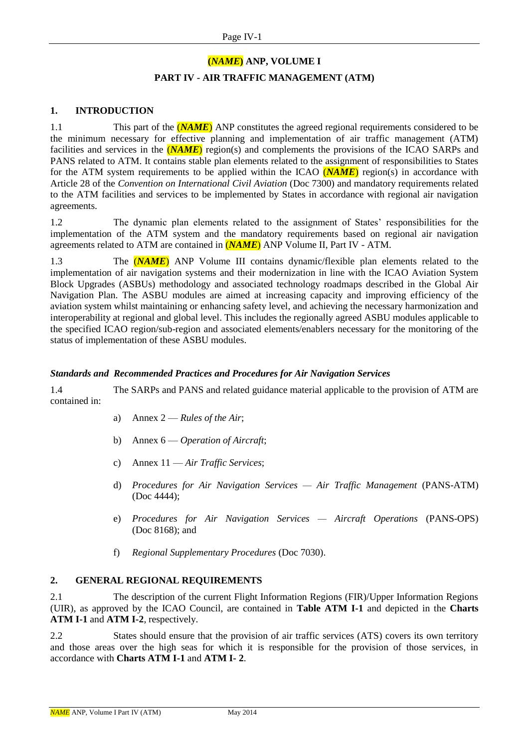# **(***NAME***) ANP, VOLUME I PART IV - AIR TRAFFIC MANAGEMENT (ATM)**

### **1. INTRODUCTION**

1.1 This part of the *(NAME)* ANP constitutes the agreed regional requirements considered to be the minimum necessary for effective planning and implementation of air traffic management (ATM) facilities and services in the **(NAME)** region(s) and complements the provisions of the ICAO SARPs and PANS related to ATM. It contains stable plan elements related to the assignment of responsibilities to States for the ATM system requirements to be applied within the ICAO (*NAME*) region(s) in accordance with Article 28 of the *Convention on International Civil Aviation* (Doc 7300) and mandatory requirements related to the ATM facilities and services to be implemented by States in accordance with regional air navigation agreements.

1.2 The dynamic plan elements related to the assignment of States' responsibilities for the implementation of the ATM system and the mandatory requirements based on regional air navigation agreements related to ATM are contained in (*NAME*) ANP Volume II, Part IV - ATM.

1.3 The (*NAME*) ANP Volume III contains dynamic/flexible plan elements related to the implementation of air navigation systems and their modernization in line with the ICAO Aviation System Block Upgrades (ASBUs) methodology and associated technology roadmaps described in the Global Air Navigation Plan. The ASBU modules are aimed at increasing capacity and improving efficiency of the aviation system whilst maintaining or enhancing safety level, and achieving the necessary harmonization and interoperability at regional and global level. This includes the regionally agreed ASBU modules applicable to the specified ICAO region/sub-region and associated elements/enablers necessary for the monitoring of the status of implementation of these ASBU modules.

#### *Standards and Recommended Practices and Procedures for Air Navigation Services*

1.4 The SARPs and PANS and related guidance material applicable to the provision of ATM are contained in:

- a) Annex 2 *Rules of the Air*;
- b) Annex 6 *Operation of Aircraft*;
- c) Annex 11 *Air Traffic Services*;
- d) *Procedures for Air Navigation Services — Air Traffic Management* (PANS-ATM) (Doc 4444);
- e) *Procedures for Air Navigation Services — Aircraft Operations* (PANS-OPS) (Doc 8168); and
- f) *Regional Supplementary Procedures* (Doc 7030).

#### **2. GENERAL REGIONAL REQUIREMENTS**

2.1 The description of the current Flight Information Regions (FIR)/Upper Information Regions (UIR), as approved by the ICAO Council, are contained in **Table ATM I-1** and depicted in the **Charts ATM I-1** and **ATM I-2**, respectively.

2.2 States should ensure that the provision of air traffic services (ATS) covers its own territory and those areas over the high seas for which it is responsible for the provision of those services, in accordance with **Charts ATM I-1** and **ATM I- 2**.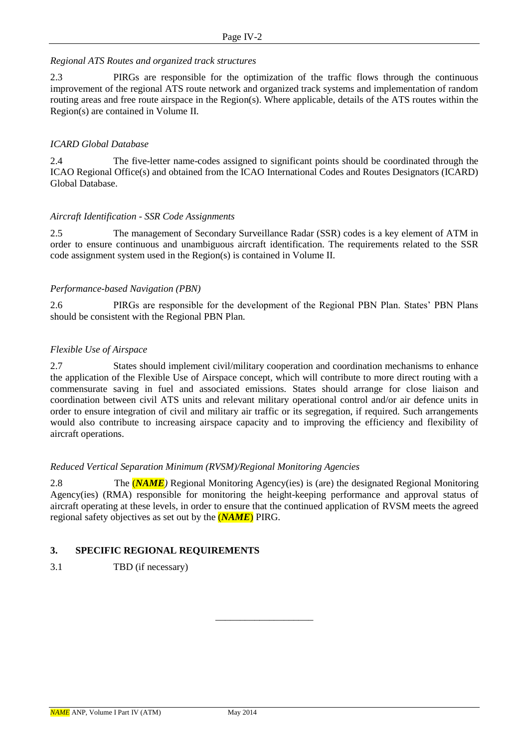#### *Regional ATS Routes and organized track structures*

2.3 PIRGs are responsible for the optimization of the traffic flows through the continuous improvement of the regional ATS route network and organized track systems and implementation of random routing areas and free route airspace in the Region(s). Where applicable, details of the ATS routes within the Region(s) are contained in Volume II.

### *ICARD Global Database*

2.4 The five-letter name-codes assigned to significant points should be coordinated through the ICAO Regional Office(s) and obtained from the ICAO International Codes and Routes Designators (ICARD) Global Database.

#### *Aircraft Identification - SSR Code Assignments*

2.5 The management of Secondary Surveillance Radar (SSR) codes is a key element of ATM in order to ensure continuous and unambiguous aircraft identification. The requirements related to the SSR code assignment system used in the Region(s) is contained in Volume II.

#### *Performance-based Navigation (PBN)*

2.6 PIRGs are responsible for the development of the Regional PBN Plan. States' PBN Plans should be consistent with the Regional PBN Plan.

#### *Flexible Use of Airspace*

2.7 States should implement civil/military cooperation and coordination mechanisms to enhance the application of the Flexible Use of Airspace concept, which will contribute to more direct routing with a commensurate saving in fuel and associated emissions. States should arrange for close liaison and coordination between civil ATS units and relevant military operational control and/or air defence units in order to ensure integration of civil and military air traffic or its segregation, if required. Such arrangements would also contribute to increasing airspace capacity and to improving the efficiency and flexibility of aircraft operations.

#### *Reduced Vertical Separation Minimum (RVSM)/Regional Monitoring Agencies*

2.8 The (*NAME)* Regional Monitoring Agency(ies) is (are) the designated Regional Monitoring Agency(ies) (RMA) responsible for monitoring the height-keeping performance and approval status of aircraft operating at these levels, in order to ensure that the continued application of RVSM meets the agreed regional safety objectives as set out by the (*NAME*) PIRG.

\_\_\_\_\_\_\_\_\_\_\_\_\_\_\_\_\_\_\_\_

# **3. SPECIFIC REGIONAL REQUIREMENTS**

3.1 TBD (if necessary)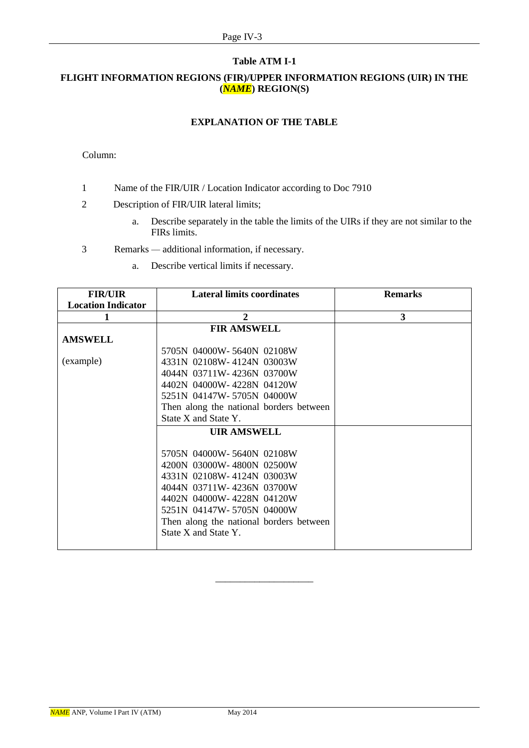#### **Table ATM I-1**

# **FLIGHT INFORMATION REGIONS (FIR)/UPPER INFORMATION REGIONS (UIR) IN THE (***NAME***) REGION(S)**

### **EXPLANATION OF THE TABLE**

### Column:

- 1 Name of the FIR/UIR / Location Indicator according to Doc 7910
- 2 Description of FIR/UIR lateral limits;
	- a. Describe separately in the table the limits of the UIRs if they are not similar to the FIRs limits.
- 3 Remarks *—* additional information, if necessary.
	- a. Describe vertical limits if necessary.

| <b>FIR/UIR</b>            | <b>Lateral limits coordinates</b>       | <b>Remarks</b> |
|---------------------------|-----------------------------------------|----------------|
| <b>Location Indicator</b> |                                         |                |
|                           | $\mathbf{2}$                            | 3              |
|                           | <b>FIR AMSWELL</b>                      |                |
| <b>AMSWELL</b>            |                                         |                |
|                           | 5705N 04000W-5640N 02108W               |                |
| (example)                 | 4331N 02108W-4124N 03003W               |                |
|                           | 4044N 03711W-4236N 03700W               |                |
|                           | 4402N 04000W-4228N 04120W               |                |
|                           | 5251N 04147W-5705N 04000W               |                |
|                           | Then along the national borders between |                |
|                           | State X and State Y.                    |                |
|                           | <b>UIR AMSWELL</b>                      |                |
|                           |                                         |                |
|                           | 5705N 04000W-5640N 02108W               |                |
|                           | 4200N 03000W-4800N 02500W               |                |
|                           | 4331N 02108W-4124N 03003W               |                |
|                           | 4044N 03711W-4236N 03700W               |                |
|                           | 4402N 04000W-4228N 04120W               |                |
|                           | 5251N 04147W-5705N 04000W               |                |
|                           | Then along the national borders between |                |
|                           | State X and State Y.                    |                |
|                           |                                         |                |

\_\_\_\_\_\_\_\_\_\_\_\_\_\_\_\_\_\_\_\_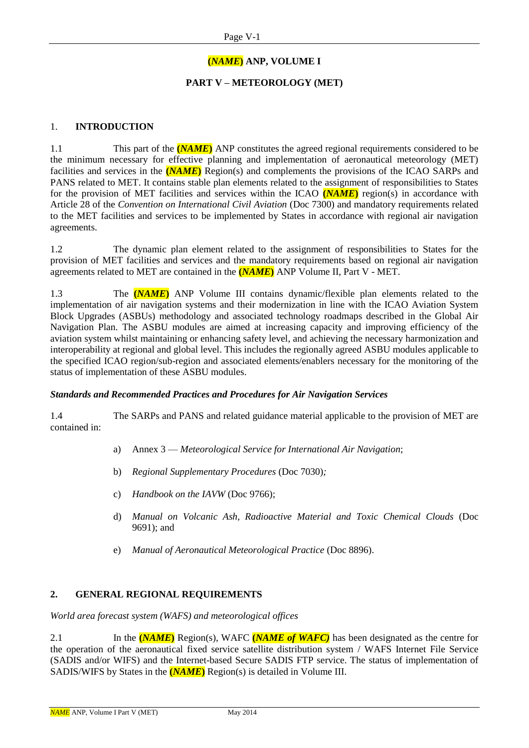# **(***NAME***) ANP, VOLUME I**

# **PART V – METEOROLOGY (MET)**

#### 1. **INTRODUCTION**

1.1 This part of the **(***NAME***)** ANP constitutes the agreed regional requirements considered to be the minimum necessary for effective planning and implementation of aeronautical meteorology (MET) facilities and services in the **(***NAME***)** Region(s) and complements the provisions of the ICAO SARPs and PANS related to MET. It contains stable plan elements related to the assignment of responsibilities to States for the provision of MET facilities and services within the ICAO **(***NAME***)** region(s) in accordance with Article 28 of the *Convention on International Civil Aviation* (Doc 7300) and mandatory requirements related to the MET facilities and services to be implemented by States in accordance with regional air navigation agreements.

1.2 The dynamic plan element related to the assignment of responsibilities to States for the provision of MET facilities and services and the mandatory requirements based on regional air navigation agreements related to MET are contained in the **(***NAME***)** ANP Volume II, Part V - MET.

1.3 The **(***NAME***)** ANP Volume III contains dynamic/flexible plan elements related to the implementation of air navigation systems and their modernization in line with the ICAO Aviation System Block Upgrades (ASBUs) methodology and associated technology roadmaps described in the Global Air Navigation Plan. The ASBU modules are aimed at increasing capacity and improving efficiency of the aviation system whilst maintaining or enhancing safety level, and achieving the necessary harmonization and interoperability at regional and global level. This includes the regionally agreed ASBU modules applicable to the specified ICAO region/sub-region and associated elements/enablers necessary for the monitoring of the status of implementation of these ASBU modules.

#### *Standards and Recommended Practices and Procedures for Air Navigation Services*

1.4 The SARPs and PANS and related guidance material applicable to the provision of MET are contained in:

- a) Annex 3 *Meteorological Service for International Air Navigation*;
- b) *Regional Supplementary Procedures* (Doc 7030)*;*
- c) *Handbook on the IAVW* (Doc 9766);
- d) *Manual on Volcanic Ash, Radioactive Material and Toxic Chemical Clouds* (Doc 9691); and
- e) *Manual of Aeronautical Meteorological Practice* (Doc 8896).

# **2. GENERAL REGIONAL REQUIREMENTS**

*World area forecast system (WAFS) and meteorological offices*

2.1 In the **(***NAME***)** Region(s), WAFC **(***NAME of WAFC)* has been designated as the centre for the operation of the aeronautical fixed service satellite distribution system / WAFS Internet File Service (SADIS and/or WIFS) and the Internet-based Secure SADIS FTP service. The status of implementation of SADIS/WIFS by States in the **(***NAME***)** Region(s) is detailed in Volume III.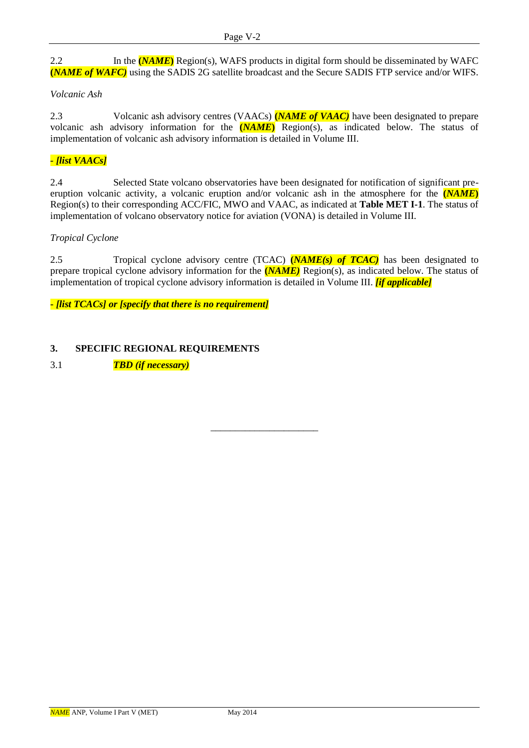2.2 In the **(***NAME***)** Region(s), WAFS products in digital form should be disseminated by WAFC **(***NAME of WAFC)* using the SADIS 2G satellite broadcast and the Secure SADIS FTP service and/or WIFS.

### *Volcanic Ash*

2.3 Volcanic ash advisory centres (VAACs) **(***NAME of VAAC)* have been designated to prepare volcanic ash advisory information for the **(***NAME***)** Region(s), as indicated below. The status of implementation of volcanic ash advisory information is detailed in Volume III.

# *- [list VAACs]*

2.4 Selected State volcano observatories have been designated for notification of significant preeruption volcanic activity, a volcanic eruption and/or volcanic ash in the atmosphere for the **(***NAME***)** Region(s) to their corresponding ACC/FIC, MWO and VAAC, as indicated at **Table MET I-1**. The status of implementation of volcano observatory notice for aviation (VONA) is detailed in Volume III.

#### *Tropical Cyclone*

2.5 Tropical cyclone advisory centre (TCAC) **(***NAME(s) of TCAC)* has been designated to prepare tropical cyclone advisory information for the **(***NAME)* Region(s), as indicated below. The status of implementation of tropical cyclone advisory information is detailed in Volume III. *[if applicable]*

\_\_\_\_\_\_\_\_\_\_\_\_\_\_\_\_\_\_\_\_\_\_

**-** *[list TCACs] or [specify that there is no requirement]*

# **3. SPECIFIC REGIONAL REQUIREMENTS**

3.1 *TBD (if necessary)*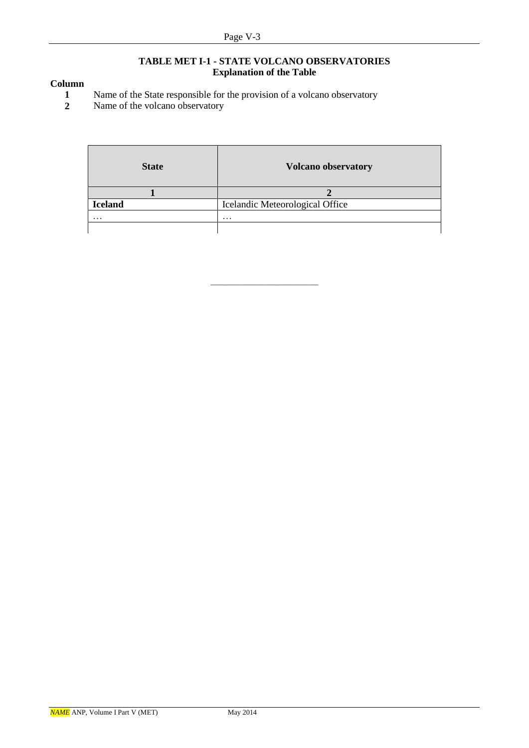#### **TABLE MET I-1 - STATE VOLCANO OBSERVATORIES Explanation of the Table**

# **Column**

- **1** Name of the State responsible for the provision of a volcano observatory<br>**2** Name of the volcano observatory
- **2** Name of the volcano observatory

| <b>State</b>   | <b>Volcano observatory</b>      |
|----------------|---------------------------------|
|                |                                 |
| <b>Iceland</b> | Icelandic Meteorological Office |
| $\cdots$       | $\cdots$                        |
|                |                                 |

––––––––––––––––––––––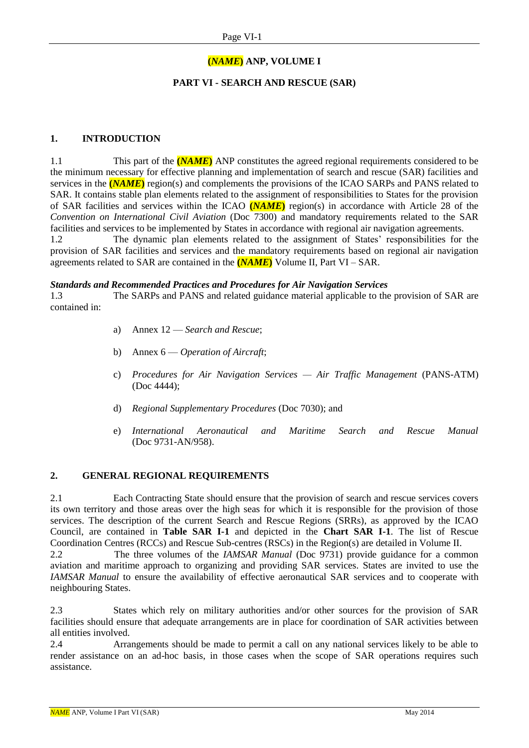# **(***NAME***) ANP, VOLUME I**

# **PART VI - SEARCH AND RESCUE (SAR)**

### **1. INTRODUCTION**

1.1 This part of the **(***NAME***)** ANP constitutes the agreed regional requirements considered to be the minimum necessary for effective planning and implementation of search and rescue (SAR) facilities and services in the **(***NAME***)** region(s) and complements the provisions of the ICAO SARPs and PANS related to SAR. It contains stable plan elements related to the assignment of responsibilities to States for the provision of SAR facilities and services within the ICAO **(***NAME***)** region(s) in accordance with Article 28 of the *Convention on International Civil Aviation* (Doc 7300) and mandatory requirements related to the SAR facilities and services to be implemented by States in accordance with regional air navigation agreements.

1.2 The dynamic plan elements related to the assignment of States' responsibilities for the provision of SAR facilities and services and the mandatory requirements based on regional air navigation agreements related to SAR are contained in the **(***NAME***)** Volume II, Part VI – SAR.

#### *Standards and Recommended Practices and Procedures for Air Navigation Services*

1.3 The SARPs and PANS and related guidance material applicable to the provision of SAR are contained in:

- a) Annex 12 *Search and Rescue*;
- b) Annex 6 *Operation of Aircraft*;
- c) *Procedures for Air Navigation Services — Air Traffic Management* (PANS-ATM) (Doc 4444);
- d) *Regional Supplementary Procedures* (Doc 7030); and
- e) *International Aeronautical and Maritime Search and Rescue Manual* (Doc 9731-AN/958).

#### **2. GENERAL REGIONAL REQUIREMENTS**

2.1 Each Contracting State should ensure that the provision of search and rescue services covers its own territory and those areas over the high seas for which it is responsible for the provision of those services. The description of the current Search and Rescue Regions (SRRs), as approved by the ICAO Council, are contained in **Table SAR I-1** and depicted in the **Chart SAR I-1**. The list of Rescue Coordination Centres (RCCs) and Rescue Sub-centres (RSCs) in the Region(s) are detailed in Volume II.

2.2 The three volumes of the *IAMSAR Manual* (Doc 9731) provide guidance for a common aviation and maritime approach to organizing and providing SAR services. States are invited to use the *IAMSAR Manual* to ensure the availability of effective aeronautical SAR services and to cooperate with neighbouring States.

2.3 States which rely on military authorities and/or other sources for the provision of SAR facilities should ensure that adequate arrangements are in place for coordination of SAR activities between all entities involved.

2.4 Arrangements should be made to permit a call on any national services likely to be able to render assistance on an ad-hoc basis, in those cases when the scope of SAR operations requires such assistance.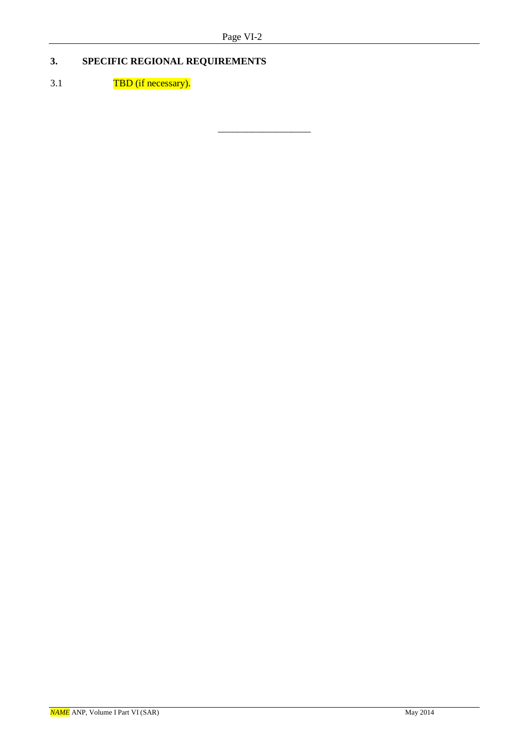\_\_\_\_\_\_\_\_\_\_\_\_\_\_\_\_\_\_\_

# **3. SPECIFIC REGIONAL REQUIREMENTS**

# 3.1 TBD (if necessary).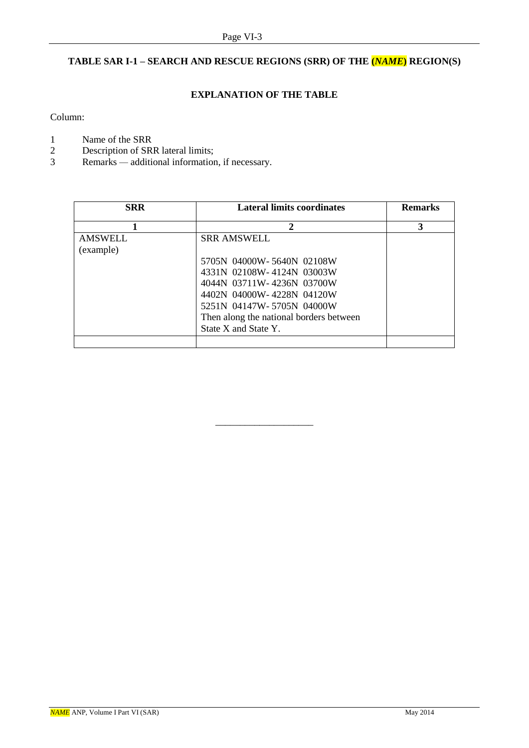# **TABLE SAR I-1 – SEARCH AND RESCUE REGIONS (SRR) OF THE (***NAME***) REGION(S)**

# **EXPLANATION OF THE TABLE**

Column:

- 
- 1 Name of the SRR<br>2 Description of SR 2 Description of SRR lateral limits;<br>3 Remarks — additional information
- Remarks additional information, if necessary.

| <b>SRR</b>     | <b>Lateral limits coordinates</b>       | <b>Remarks</b> |
|----------------|-----------------------------------------|----------------|
|                | 2                                       | 3              |
| <b>AMSWELL</b> | <b>SRR AMSWELL</b>                      |                |
| (example)      |                                         |                |
|                | 5705N 04000W-5640N 02108W               |                |
|                | 4331N 02108W-4124N 03003W               |                |
|                | 4044N 03711W-4236N 03700W               |                |
|                | 4402N 04000W-4228N 04120W               |                |
|                | 5251N 04147W-5705N 04000W               |                |
|                | Then along the national borders between |                |
|                | State X and State Y.                    |                |
|                |                                         |                |

\_\_\_\_\_\_\_\_\_\_\_\_\_\_\_\_\_\_\_\_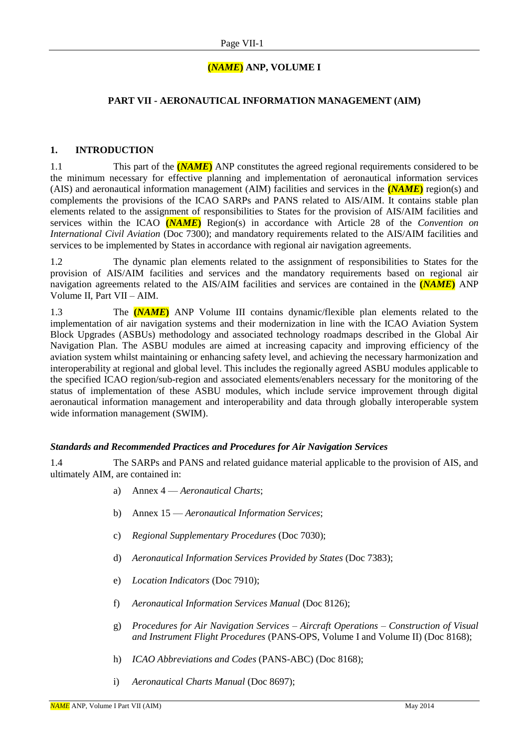# **(***NAME***) ANP, VOLUME I**

### **PART VII - AERONAUTICAL INFORMATION MANAGEMENT (AIM)**

#### **1. INTRODUCTION**

1.1 This part of the **(***NAME***)** ANP constitutes the agreed regional requirements considered to be the minimum necessary for effective planning and implementation of aeronautical information services (AIS) and aeronautical information management (AIM) facilities and services in the **(***NAME***)** region(s) and complements the provisions of the ICAO SARPs and PANS related to AIS/AIM. It contains stable plan elements related to the assignment of responsibilities to States for the provision of AIS/AIM facilities and services within the ICAO **(***NAME***)** Region(s) in accordance with Article 28 of the *Convention on International Civil Aviation* (Doc 7300); and mandatory requirements related to the AIS/AIM facilities and services to be implemented by States in accordance with regional air navigation agreements.

1.2 The dynamic plan elements related to the assignment of responsibilities to States for the provision of AIS/AIM facilities and services and the mandatory requirements based on regional air navigation agreements related to the AIS/AIM facilities and services are contained in the **(***NAME***)** ANP Volume II, Part VII – AIM.

1.3 The **(***NAME***)** ANP Volume III contains dynamic/flexible plan elements related to the implementation of air navigation systems and their modernization in line with the ICAO Aviation System Block Upgrades (ASBUs) methodology and associated technology roadmaps described in the Global Air Navigation Plan. The ASBU modules are aimed at increasing capacity and improving efficiency of the aviation system whilst maintaining or enhancing safety level, and achieving the necessary harmonization and interoperability at regional and global level. This includes the regionally agreed ASBU modules applicable to the specified ICAO region/sub-region and associated elements/enablers necessary for the monitoring of the status of implementation of these ASBU modules, which include service improvement through digital aeronautical information management and interoperability and data through globally interoperable system wide information management (SWIM).

#### *Standards and Recommended Practices and Procedures for Air Navigation Services*

1.4 The SARPs and PANS and related guidance material applicable to the provision of AIS, and ultimately AIM, are contained in:

- a) Annex 4 *Aeronautical Charts*;
- b) Annex 15 *Aeronautical Information Services*;
- c) *Regional Supplementary Procedures* (Doc 7030);
- d) *Aeronautical Information Services Provided by States* (Doc 7383);
- e) *Location Indicators* (Doc 7910);
- f) *Aeronautical Information Services Manual* (Doc 8126);
- g) *Procedures for Air Navigation Services – Aircraft Operations – Construction of Visual and Instrument Flight Procedures* (PANS-OPS, Volume I and Volume II) (Doc 8168);
- h) *ICAO Abbreviations and Codes* (PANS-ABC) (Doc 8168);
- i) *Aeronautical Charts Manual* (Doc 8697);